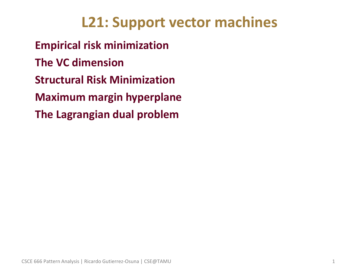## **L21: Support vector machines**

• **Empirical risk minimization** • **The VC dimension** • **Structural Risk Minimization** • **Maximum margin hyperplane** • **The Lagrangian dual problem**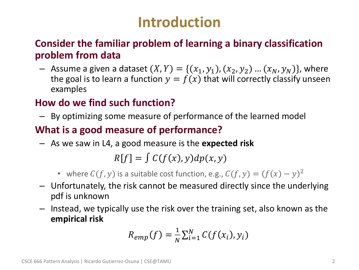## **Introduction**

#### • **Consider the familiar problem of learning a binary classification problem from data**

- Assume a given a dataset  $(X, Y) = \{(x_1, y_1), (x_2, y_2) ... (x_N, y_N)\}$ , where the goal is to learn a function  $y = f(x)$  that will correctly classify unseen examples

#### • **How do we find such function?**

– By optimizing some measure of performance of the learned model

### • **What is a good measure of performance?**

– As we saw in L4, a good measure is the **expected risk**

 $R[f] = \int C(f(x), y) dp(x, y)$ 

- where  $C(f, y)$  is a suitable cost function, e.g.,  $C(f, y) = (f(x) y)^2$
- Unfortunately, the risk cannot be measured directly since the underlying pdf is unknown
- Instead, we typically use the risk over the training set, also known as the **empirical risk**

$$
R_{emp}(f) = \frac{1}{N} \sum_{i=1}^{N} C(f(x_i), y_i)
$$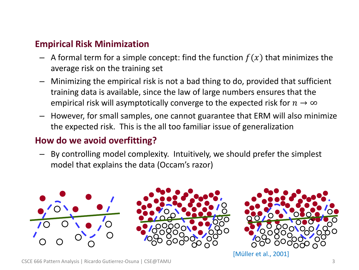#### • **Empirical Risk Minimization**

- $-$  A formal term for a simple concept: find the function  $f(x)$  that minimizes the average risk on the training set
- Minimizing the empirical risk is not a bad thing to do, provided that sufficient training data is available, since the law of large numbers ensures that the empirical risk will asymptotically converge to the expected risk for  $n \to \infty$
- However, for small samples, one cannot guarantee that ERM will also minimize the expected risk. This is the all too familiar issue of generalization

#### • **How do we avoid overfitting?**

– By controlling model complexity. Intuitively, we should prefer the simplest model that explains the data (Occam's razor)



[Müller et al., 2001]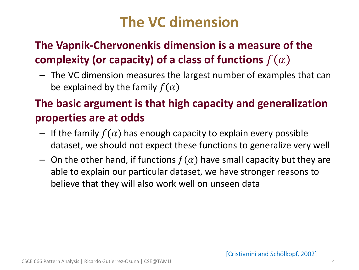## **The VC dimension**

## • **The Vapnik-Chervonenkis dimension is a measure of the complexity (or capacity) of a class of functions**  $f(\alpha)$

– The VC dimension measures the largest number of examples that can be explained by the family  $f(\alpha)$ 

## • **The basic argument is that high capacity and generalization properties are at odds**

- $-$  If the family  $f(\alpha)$  has enough capacity to explain every possible dataset, we should not expect these functions to generalize very well
- On the other hand, if functions  $f(\alpha)$  have small capacity but they are able to explain our particular dataset, we have stronger reasons to believe that they will also work well on unseen data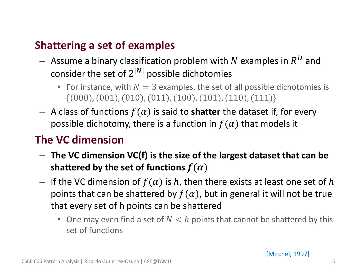### • **Shattering a set of examples**

- $-$  Assume a binary classification problem with  $N$  examples in  $R^D$  and consider the set of  $2^{|N|}$  possible dichotomies
	- For instance, with  $N = 3$  examples, the set of all possible dichotomies is  $\{(000), (001), (010), (011), (100), (101), (110), (111)\}$
- $-$  A class of functions  $f(\alpha)$  is said to **shatter** the dataset if, for every possible dichotomy, there is a function in  $f(\alpha)$  that models it

### • **The VC dimension**

- **The VC dimension VC(f) is the size of the largest dataset that can be**  shattered by the set of functions  $f(\alpha)$
- If the VC dimension of  $f(\alpha)$  is h, then there exists at least one set of h points that can be shattered by  $f(\alpha)$ , but in general it will not be true that every set of h points can be shattered
	- One may even find a set of  $N < h$  points that cannot be shattered by this set of functions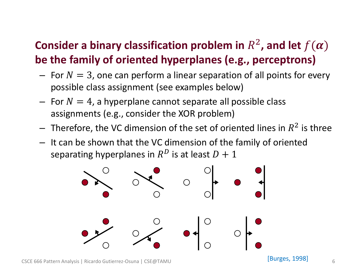## **Consider a binary classification problem in**  $R^2$ **, and let**  $f(\boldsymbol{\alpha})$ **be the family of oriented hyperplanes (e.g., perceptrons)**

- $-$  For  $N = 3$ , one can perform a linear separation of all points for every possible class assignment (see examples below)
- $-$  For  $N = 4$ , a hyperplane cannot separate all possible class assignments (e.g., consider the XOR problem)
- $-$  Therefore, the VC dimension of the set of oriented lines in  $R^2$  is three
- It can be shown that the VC dimension of the family of oriented separating hyperplanes in  $R^D$  is at least  $D+1$

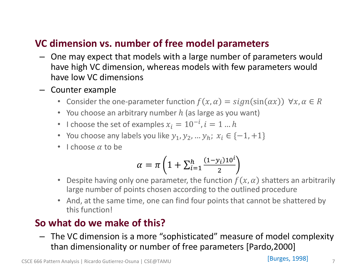#### • **VC dimension vs. number of free model parameters**

- One may expect that models with a large number of parameters would have high VC dimension, whereas models with few parameters would have low VC dimensions
- Counter example
	- Consider the one-parameter function  $f(x, \alpha) = sign(sin(\alpha x)) \ \forall x, \alpha \in R$
	- You choose an arbitrary number  $h$  (as large as you want)
	- I choose the set of examples  $x_i = 10^{-i}$ ,  $i = 1...h$
	- You choose any labels you like  $y_1, y_2, ..., y_h$ ;  $x_i \in \{-1, +1\}$
	- I choose  $\alpha$  to be

$$
\alpha = \pi \left( 1 + \sum_{i=1}^{h} \frac{(1 - y_i) 10^i}{2} \right)
$$

- Despite having only one parameter, the function  $f(x, \alpha)$  shatters an arbitrarily large number of points chosen according to the outlined procedure
- And, at the same time, one can find four points that cannot be shattered by this function!

#### • **So what do we make of this?**

– The VC dimension is a more "sophisticated" measure of model complexity than dimensionality or number of free parameters [Pardo,2000]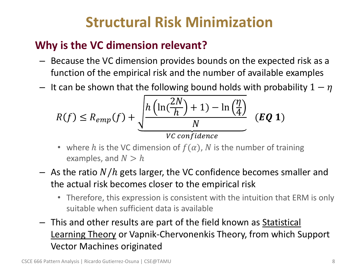# **Structural Risk Minimization**

## • **Why is the VC dimension relevant?**

- Because the VC dimension provides bounds on the expected risk as a function of the empirical risk and the number of available examples
- It can be shown that the following bound holds with probability  $1 \eta$

$$
R(f) \le R_{emp}(f) + \underbrace{\sqrt{\frac{h\left(\ln(\frac{2N}{h}) + 1\right) - \ln(\frac{\eta}{4})}{N}}_{VC \text{ confidence}} \quad (EQ \ 1)
$$

- where h is the VC dimension of  $f(\alpha)$ , N is the number of training examples, and  $N > h$
- $-$  As the ratio  $N/h$  gets larger, the VC confidence becomes smaller and the actual risk becomes closer to the empirical risk
	- Therefore, this expression is consistent with the intuition that ERM is only suitable when sufficient data is available
- This and other results are part of the field known as Statistical Learning Theory or Vapnik-Chervonenkis Theory, from which Support Vector Machines originated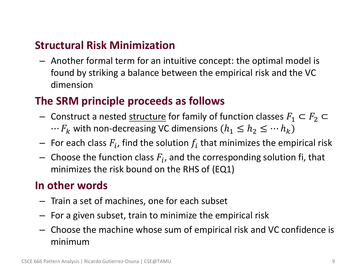### • **Structural Risk Minimization**

– Another formal term for an intuitive concept: the optimal model is found by striking a balance between the empirical risk and the VC dimension

### • **The SRM principle proceeds as follows**

- Construct a nested structure for family of function classes  $F_1$  ⊂  $F_2$  ⊂  $\cdots F_k$  with non-decreasing VC dimensions  $(h_1 \leq h_2 \leq \cdots h_k)$
- $-$  For each class  $F_i$ , find the solution  $f_i$  that minimizes the empirical risk
- $-$  Choose the function class  $F_i$ , and the corresponding solution fi, that minimizes the risk bound on the RHS of (EQ1)

### • **In other words**

- Train a set of machines, one for each subset
- For a given subset, train to minimize the empirical risk
- Choose the machine whose sum of empirical risk and VC confidence is minimum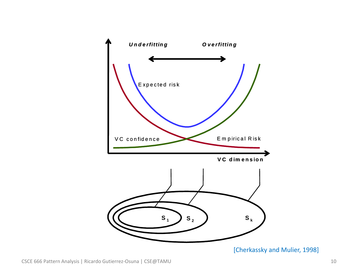

[Cherkassky and Mulier, 1998]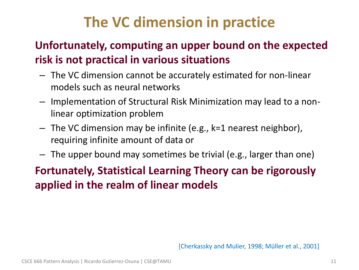# **The VC dimension in practice**

## • **Unfortunately, computing an upper bound on the expected risk is not practical in various situations**

- The VC dimension cannot be accurately estimated for non-linear models such as neural networks
- Implementation of Structural Risk Minimization may lead to a nonlinear optimization problem
- The VC dimension may be infinite (e.g., k=1 nearest neighbor), requiring infinite amount of data or
- The upper bound may sometimes be trivial (e.g., larger than one)

## • **Fortunately, Statistical Learning Theory can be rigorously applied in the realm of linear models**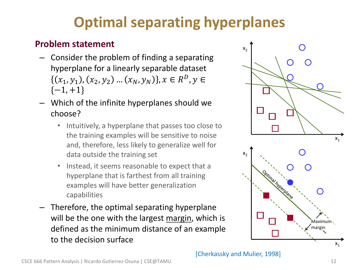# **Optimal separating hyperplanes**

#### • **Problem statement**

- Consider the problem of finding a separating hyperplane for a linearly separable dataset  $(x_1, y_1), (x_2, y_2) \dots (x_N, y_N) \}, x \in R^D, y \in$  $\{-1, +1\}$
- Which of the infinite hyperplanes should we choose?
	- Intuitively, a hyperplane that passes too close to the training examples will be sensitive to noise and, therefore, less likely to generalize well for data outside the training set
	- Instead, it seems reasonable to expect that a hyperplane that is farthest from all training examples will have better generalization capabilities
- Therefore, the optimal separating hyperplane will be the one with the largest margin, which is defined as the minimum distance of an example to the decision surface

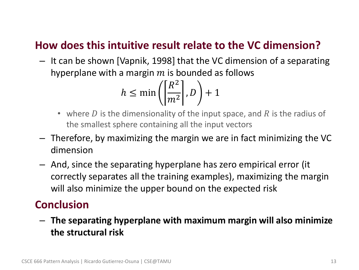### • **How does this intuitive result relate to the VC dimension?**

– It can be shown [Vapnik, 1998] that the VC dimension of a separating hyperplane with a margin  $m$  is bounded as follows

$$
h \le \min\left(\left[\frac{R^2}{m^2}\right], D\right) + 1
$$

- where D is the dimensionality of the input space, and R is the radius of the smallest sphere containing all the input vectors
- Therefore, by maximizing the margin we are in fact minimizing the VC dimension
- And, since the separating hyperplane has zero empirical error (it correctly separates all the training examples), maximizing the margin will also minimize the upper bound on the expected risk

#### • **Conclusion**

– **The separating hyperplane with maximum margin will also minimize the structural risk**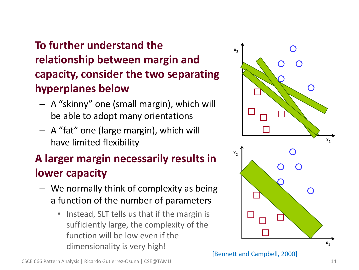## • **To further understand the relationship between margin and capacity, consider the two separating hyperplanes below**

- A "skinny" one (small margin), which will be able to adopt many orientations
- A "fat" one (large margin), which will have limited flexibility

## • **A larger margin necessarily results in lower capacity**

- We normally think of complexity as being a function of the number of parameters
	- Instead, SLT tells us that if the margin is sufficiently large, the complexity of the function will be low even if the dimensionality is very high!



[Bennett and Campbell, 2000]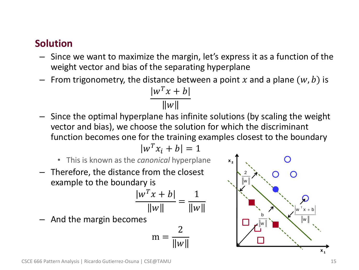#### • **Solution**

- Since we want to maximize the margin, let's express it as a function of the weight vector and bias of the separating hyperplane
- From trigonometry, the distance between a point x and a plane  $(w, b)$  is

$$
\frac{|w^T x + b|}{\|w\|}
$$

– Since the optimal hyperplane has infinite solutions (by scaling the weight vector and bias), we choose the solution for which the discriminant function becomes one for the training examples closest to the boundary

 $|w^T x_i + b| = 1$ 

- This is known as the *canonical* hyperplane
- Therefore, the distance from the closest example to the boundary is

$$
\frac{w^T x + b}{\|w\|} = \frac{1}{\|w\|}
$$

– And the margin becomes

$$
m = \frac{2}{\|w\|}
$$

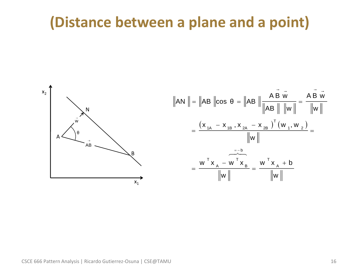## **(Distance between a plane and a point)**

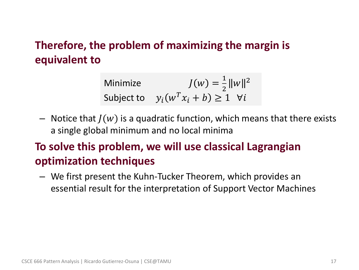### • **Therefore, the problem of maximizing the margin is equivalent to**

Minimize 
$$
J(w) = \frac{1}{2} ||w||^2
$$
  
Subject to 
$$
y_i(w^T x_i + b) \ge 1 \quad \forall i
$$

– Notice that  $J(w)$  is a quadratic function, which means that there exists a single global minimum and no local minima

## • **To solve this problem, we will use classical Lagrangian optimization techniques**

– We first present the Kuhn-Tucker Theorem, which provides an essential result for the interpretation of Support Vector Machines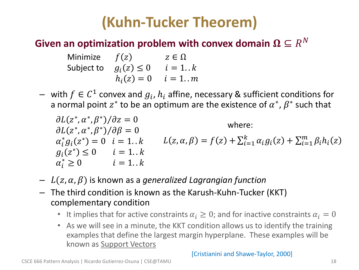# **(Kuhn-Tucker Theorem)**

## **Given an optimization problem with convex domain**  $\mathbf{\Omega} \subseteq R^N$

- Minimize  $f(z)$   $z \in \Omega$ Subject to  $g_i(z) \le 0$   $i = 1..k$  $h_i(z) = 0$   $i = 1..m$
- $−$  with  $f ∈ C<sup>1</sup>$  convex and  $g<sub>i</sub>$ ,  $h<sub>i</sub>$  affine, necessary & sufficient conditions for a normal point  $z^*$  to be an optimum are the existence of  $\alpha^*$ ,  $\beta^*$  such that

$$
\partial L(z^*, \alpha^*, \beta^*)/\partial z = 0
$$
\n
$$
\partial L(z^*, \alpha^*, \beta^*)/\partial \beta = 0
$$
\nwhere:  
\n
$$
\alpha_i^* g_i(z^*) = 0 \quad i = 1..k
$$
\n
$$
L(z, \alpha, \beta) = f(z) + \sum_{i=1}^k \alpha_i g_i(z) + \sum_{i=1}^m \beta_i h_i(z)
$$
\n
$$
\alpha_i^* \ge 0 \qquad i = 1..k
$$
\n
$$
\alpha_i^* \ge 0 \qquad i = 1..k
$$

- $-L(z, \alpha, \beta)$  is known as a *generalized Lagrangian function*
- The third condition is known as the Karush-Kuhn-Tucker (KKT) complementary condition
	- It implies that for active constraints  $\alpha_i \geq 0$ ; and for inactive constraints  $\alpha_i = 0$
	- As we will see in a minute, the KKT condition allows us to identify the training examples that define the largest margin hyperplane. These examples will be known as Support Vectors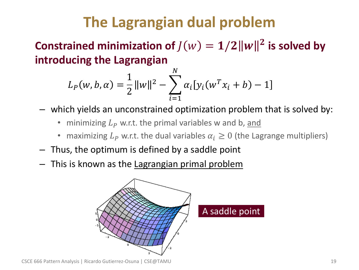# **The Lagrangian dual problem**

Constrained minimization of  $J(w) = 1/2||w||^2$  is solved by **introducing the Lagrangian** 

$$
L_P(w, b, \alpha) = \frac{1}{2} ||w||^2 - \sum_{i=1}^{N} \alpha_i [y_i(w^T x_i + b) - 1]
$$

- which yields an unconstrained optimization problem that is solved by:
	- minimizing  $L<sub>p</sub>$  w.r.t. the primal variables w and b, and
	- maximizing  $L_p$  w.r.t. the dual variables  $\alpha_i \geq 0$  (the Lagrange multipliers)
- Thus, the optimum is defined by a saddle point
- This is known as the Lagrangian primal problem

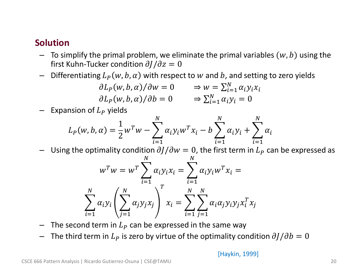#### • **Solution**

- $-$  To simplify the primal problem, we eliminate the primal variables  $(w, b)$  using the first Kuhn-Tucker condition  $\partial J/\partial z = 0$
- Differentiating  $L_p(w, b, \alpha)$  with respect to w and b, and setting to zero yields

$$
\partial L_P(w, b, \alpha) / \partial w = 0 \Rightarrow w = \sum_{i=1}^N \alpha_i y_i x_i
$$
  

$$
\partial L_P(w, b, \alpha) / \partial b = 0 \Rightarrow \sum_{i=1}^N \alpha_i y_i = 0
$$

 $-$  Expansion of  $L<sub>P</sub>$  yields

$$
L_P(w, b, \alpha) = \frac{1}{2} w^T w - \sum_{i=1}^{N} \alpha_i y_i w^T x_i - b \sum_{i=1}^{N} \alpha_i y_i + \sum_{i=1}^{N} \alpha_i
$$

Using the optimality condition  $\partial J/\partial w = 0$ , the first term in  $L_p$  can be expressed as

$$
w^T w = w^T \sum_{i=1}^N \alpha_i y_i x_i = \sum_{i=1}^N \alpha_i y_i w^T x_i =
$$
  

$$
\sum_{i=1}^N \alpha_i y_i \left( \sum_{j=1}^N \alpha_j y_j x_j \right)^T x_i = \sum_{i=1}^N \sum_{j=1}^N \alpha_i \alpha_j y_i y_j x_i^T x_j
$$

- The second term in  $L_p$  can be expressed in the same way
- $-$  The third term in  $L_p$  is zero by virtue of the optimality condition  $\partial J/\partial b = 0$

[Haykin, 1999]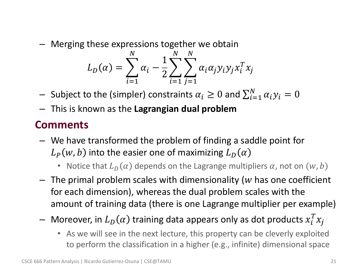– Merging these expressions together we obtain

$$
L_D(\alpha) = \sum_{i=1}^{N} \alpha_i - \frac{1}{2} \sum_{i=1}^{N} \sum_{j=1}^{N} \alpha_i \alpha_j y_i y_j x_i^T x_j
$$

- $-$  Subject to the (simpler) constraints  $\alpha_i\geq 0$  and  $\sum_{i=1}^N \alpha_i y_i=0$
- This is known as the **Lagrangian dual problem**

### • **Comments**

- We have transformed the problem of finding a saddle point for  $L_P(w, b)$  into the easier one of maximizing  $L_D(\alpha)$ 
	- Notice that  $L_D(\alpha)$  depends on the Lagrange multipliers  $\alpha$ , not on  $(w, b)$
- $-$  The primal problem scales with dimensionality (w has one coefficient for each dimension), whereas the dual problem scales with the amount of training data (there is one Lagrange multiplier per example)
- $-$  Moreover, in  $L_D(\alpha)$  training data appears only as dot products  $x_i^T x_j$ 
	- As we will see in the next lecture, this property can be cleverly exploited to perform the classification in a higher (e.g., infinite) dimensional space